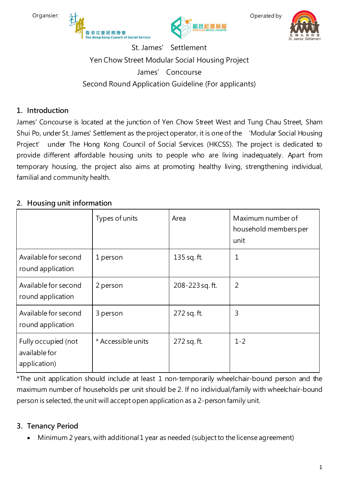





Operated by



St. James' Settlement Yen Chow Street Modular Social Housing Project James' Concourse Second Round Application Guideline (For applicants)

## **1. Introduction**

James' Concourse is located at the junction of Yen Chow Street West and Tung Chau Street, Sham Shui Po, under St. James' Settlement as the project operator, it is one of the 'Modular Social Housing Project' under The Hong Kong Council of Social Services (HKCSS). The project is dedicated to provide different affordable housing units to people who are living inadequately. Apart from temporary housing, the project also aims at promoting healthy living, strengthening individual, familial and community health.

# **2. Housing unit information**

|                                                      | Types of units     | Area            | Maximum number of<br>household members per<br>unit |
|------------------------------------------------------|--------------------|-----------------|----------------------------------------------------|
| Available for second<br>round application            | 1 person           | 135 sq. ft.     | 1                                                  |
| Available for second<br>round application            | 2 person           | 208-223 sq. ft. | 2                                                  |
| Available for second<br>round application            | 3 person           | 272 sq. ft.     | 3                                                  |
| Fully occupied (not<br>available for<br>application) | * Accessible units | 272 sq. ft.     | $1 - 2$                                            |

\*The unit application should include at least 1 non-temporarily wheelchair-bound person and the maximum number of households per unit should be 2. If no individual/family with wheelchair-bound person is selected, the unit will accept open application as a 2-person family unit.

# **3. Tenancy Period**

• Minimum 2 years, with additional 1 year as needed (subject to the license agreement)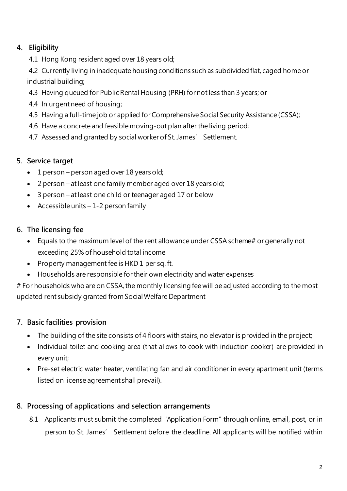# **4. Eligibility**

4.1 Hong Kong resident aged over 18 years old;

4.2 Currently living in inadequate housing conditions such as subdivided flat, caged home or industrial building;

- 4.3 Having queued for Public Rental Housing (PRH) for notless than 3 years; or
- 4.4 In urgent need of housing;
- 4.5 Having a full-time job or applied for Comprehensive Social Security Assistance (CSSA);
- 4.6 Have a concrete and feasible moving-out plan after the living period;
- 4.7 Assessed and granted by social worker of St. James' Settlement.

## **5. Service target**

- 1 person person aged over 18 years old;
- 2 person at least one family member aged over 18 years old;
- 3 person at least one child or teenager aged 17 or below
- Accessible units  $-1-2$  person family

## **6. The licensing fee**

- Equals to the maximum level of the rent allowance under CSSA scheme# or generally not exceeding 25% of household total income
- Property management fee is HKD 1 per sq. ft.
- Households are responsible for their own electricity and water expenses

# For households who are on CSSA, the monthly licensing fee will be adjusted according to the most updated rent subsidy granted from Social Welfare Department

# **7. Basic facilities provision**

- The building of the site consists of 4 floors with stairs, no elevator is provided in the project;
- Individual toilet and cooking area (that allows to cook with induction cooker) are provided in every unit;
- Pre-set electric water heater, ventilating fan and air conditioner in every apartment unit (terms listed on license agreement shall prevail).

## **8. Processing of applications and selection arrangements**

8.1 Applicants must submit the completed "Application Form" through online, email, post, or in person to St. James' Settlement before the deadline. All applicants will be notified within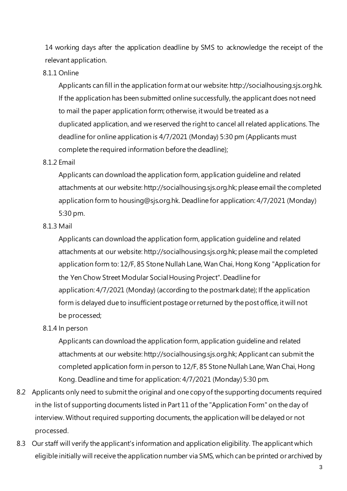14 working days after the application deadline by SMS to acknowledge the receipt of the relevant application.

#### 8.1.1 Online

Applicants can fill in the application format our website: http://socialhousing.sjs.org.hk. If the application has been submitted online successfully, the applicant does not need to mail the paper application form; otherwise, it would be treated as a duplicated application, and we reserved the right to cancel all related applications. The deadline for online application is 4/7/2021 (Monday) 5:30 pm (Applicants must complete the required information before the deadline);

#### 8.1.2 Email

Applicants can download the application form, application guideline and related attachments at our website: http://socialhousing.sjs.org.hk; please email the completed application form to housing@sjs.org.hk. Deadline for application: 4/7/2021 (Monday) 5:30 pm.

#### 8.1.3 Mail

Applicants can download the application form, application guideline and related attachments at our website: http://socialhousing.sjs.org.hk; please mail the completed application form to: 12/F, 85 Stone Nullah Lane, Wan Chai, Hong Kong "Application for the Yen Chow Street Modular Social Housing Project". Deadline for application: 4/7/2021 (Monday) (according to the postmark date); If the application form is delayed due to insufficient postage or returned by the post office, it will not be processed;

#### 8.1.4 In person

Applicants can download the application form, application guideline and related attachments at our website: http://socialhousing.sjs.org.hk; Applicant can submit the completed application form in person to 12/F, 85 Stone Nullah Lane, Wan Chai, Hong Kong. Deadline and time for application: 4/7/2021 (Monday) 5:30 pm.

- 8.2 Applicants only need to submit the original and one copy of the supporting documents required in the list of supporting documents listed in Part 11 of the "Application Form" on the day of interview. Without required supporting documents, the application will be delayed or not processed.
- 8.3 Our staff will verify the applicant's information and application eligibility. The applicant which eligible initially will receive the application number via SMS, which can be printed or archived by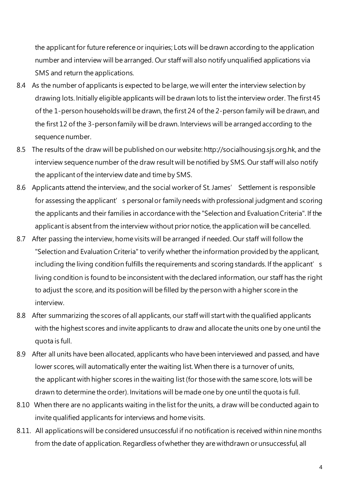the applicant for future reference or inquiries; Lots will be drawn according to the application number and interview will be arranged. Our staff will also notify unqualified applications via SMS and return the applications.

- 8.4 As the number of applicants is expected to be large, we will enter the interview selection by drawing lots. Initially eligible applicants will be drawn lots to list the interview order. The first 45 of the 1-person households will be drawn, the first 24 of the 2-person family will be drawn, and the first 12 of the 3-person family will be drawn. Interviews will be arranged according to the sequence number.
- 8.5 The results of the draw will be published on our website: http://socialhousing.sjs.org.hk, and the interview sequence number of the draw result will be notified by SMS. Our staff will also notify the applicant of the interview date and time by SMS.
- 8.6 Applicants attend the interview, and the social worker of St. James' Settlement is responsible for assessing the applicant's personal or family needs with professional judgment and scoring the applicants and their families in accordance with the "Selection and Evaluation Criteria". If the applicant is absent from the interview without prior notice, the application will be cancelled.
- 8.7 After passing the interview, home visits will be arranged if needed. Our staff will follow the "Selection and Evaluation Criteria" to verify whether the information provided by the applicant, including the living condition fulfills the requirements and scoring standards. If the applicant's living condition is found to be inconsistent with the declared information, our staff has the right to adjust the score, and its position will be filled by the person with a higher score in the interview.
- 8.8 After summarizing the scores of all applicants, our staff will start with the qualified applicants with the highest scores and invite applicants to draw and allocate the units one by one until the quota is full.
- 8.9 After all units have been allocated, applicants who have been interviewed and passed, and have lower scores, will automatically enter the waiting list. When there is a turnover of units, the applicant with higher scores in the waiting list (for those with the same score, lots will be drawn to determine the order). Invitations will be made one by one until the quota is full.
- 8.10 When there are no applicants waiting in the list for the units, a draw will be conducted again to invite qualified applicants for interviews and home visits.
- 8.11. All applications will be considered unsuccessful if no notification is received within nine months from the date of application. Regardless of whether they are withdrawn or unsuccessful, all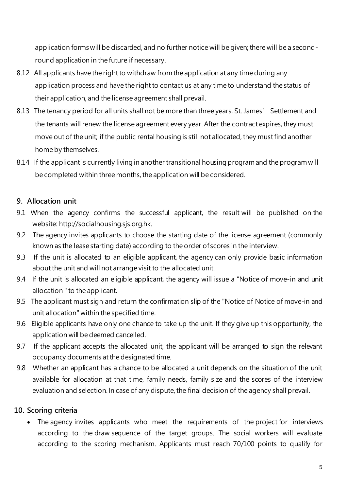application forms will be discarded, and no further notice will be given; there will be a secondround application in the future if necessary.

- 8.12 All applicants have the right to withdraw from the application at any time during any application process and have the right to contact us at any time to understand the status of their application, and the license agreement shall prevail.
- 8.13 The tenancy period for all units shall not be more than three years. St. James' Settlement and the tenants will renew the license agreement every year. After the contract expires, they must move out of the unit; if the public rental housing is still not allocated, they must find another home by themselves.
- 8.14 If the applicant is currently living in another transitional housing program and the program will be completed within three months, the application will be considered.

## **9. Allocation unit**

- 9.1 When the agency confirms the successful applicant, the result will be published on the website: http://socialhousing.sjs.org.hk.
- 9.2 The agency invites applicants to choose the starting date of the license agreement (commonly known as the lease starting date) according to the order of scores in the interview.
- 9.3 If the unit is allocated to an eligible applicant, the agency can only provide basic information about the unit and will not arrange visit to the allocated unit.
- 9.4 If the unit is allocated an eligible applicant, the agency will issue a "Notice of move-in and unit allocation " to the applicant.
- 9.5 The applicant must sign and return the confirmation slip of the "Notice of Notice of move-in and unit allocation" within the specified time.
- 9.6 Eligible applicants have only one chance to take up the unit. If they give up this opportunity, the application will be deemed cancelled.
- 9.7 If the applicant accepts the allocated unit, the applicant will be arranged to sign the relevant occupancy documents at the designated time.
- 9.8 Whether an applicant has a chance to be allocated a unit depends on the situation of the unit available for allocation at that time, family needs, family size and the scores of the interview evaluation and selection. In case of any dispute, the final decision of the agency shall prevail.

### **10. Scoring criteria**

• The agency invites applicants who meet the requirements of the project for interviews according to the draw sequence of the target groups. The social workers will evaluate according to the scoring mechanism. Applicants must reach 70/100 points to qualify for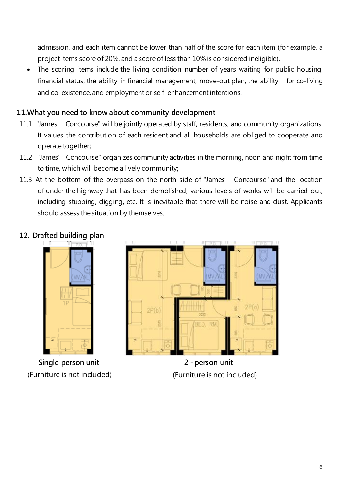admission, and each item cannot be lower than half of the score for each item (for example, a projectitems score of 20%, and a score of less than 10% is considered ineligible).

The scoring items include the living condition number of years waiting for public housing, financial status, the ability in financial management, move-out plan, the ability for co-living and co-existence, and employment or self-enhancement intentions.

### **11.What you need to know about community development**

- 11.1 "James' Concourse" will be jointly operated by staff, residents, and community organizations. It values the contribution of each resident and all households are obliged to cooperate and operate together;
- 11.2 "James' Concourse" organizes community activities in the morning, noon and night from time to time, which will become a lively community;
- 11.3 At the bottom of the overpass on the north side of "James' Concourse" and the location of under the highway that has been demolished, various levels of works will be carried out, including stubbing, digging, etc. It is inevitable that there will be noise and dust. Applicants should assess the situation by themselves.

### **12. Drafted building plan**



**Single person unit** (Furniture is not included)



**2 - person unit** (Furniture is not included)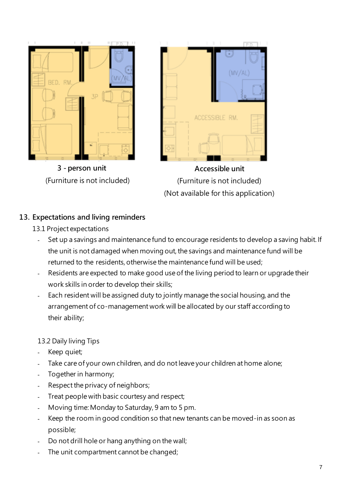

## **13. Expectations and living reminders**

- 13.1 Project expectations
	- Set up a savings and maintenance fund to encourage residents to develop a saving habit. If the unit is not damaged when moving out, the savings and maintenance fund will be returned to the residents, otherwise the maintenance fund will be used;
	- Residents are expected to make good use of the living period to learn or upgrade their work skills in order to develop their skills;
	- Each resident will be assigned duty to jointly manage the social housing, and the arrangement of co-management work will be allocated by our staff according to their ability;

## 13.2 Daily living Tips

- Keep quiet;
- Take care of your own children, and do not leave your children at home alone;
- Together in harmony;
- Respect the privacy of neighbors;
- Treat people with basic courtesy and respect;
- Moving time: Monday to Saturday, 9 am to 5 pm.
- Keep the room in good condition so that new tenants can be moved-in as soon as possible;
- Do not drill hole or hang anything on the wall;
- The unit compartment cannot be changed;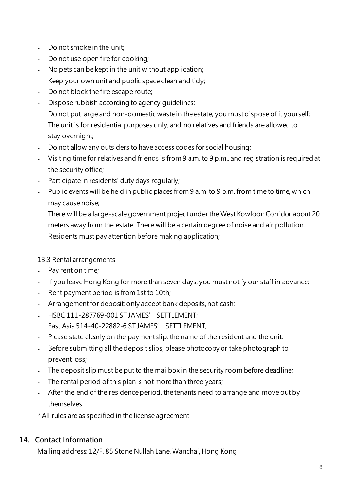- Do not smoke in the unit;
- Do not use open fire for cooking;
- No pets can be kept in the unit without application;
- Keep your own unit and public space clean and tidy;
- Do not block the fire escape route;
- Dispose rubbish according to agency quidelines;
- Do not put large and non-domestic waste in the estate, you must dispose of it yourself;
- The unit is for residential purposes only, and no relatives and friends are allowed to stay overnight;
- Do not allow any outsiders to have access codes for social housing;
- Visiting time for relatives and friends is from 9 a.m.to 9 p.m., and registration is required at the security office;
- Participate in residents' duty days regularly;
- Public events will be held in public places from 9 a.m. to 9 p.m. from time to time, which may cause noise;
- There will be a large-scale government project under the West Kowloon Corridor about 20 meters away from the estate. There will be a certain degree of noise and air pollution. Residents must pay attention before making application;

## 13.3 Rental arrangements

- Pay rent on time;
- If you leave Hong Kong for more than seven days, you must notify our staff in advance;
- Rent payment period is from 1st to 10th;
- Arrangement for deposit: only accept bank deposits, not cash;
- HSBC 111-287769-001 ST JAMES' SETTLEMENT;
- East Asia 514-40-22882-6 ST JAMES' SETTLEMENT;
- Please state clearly on the payment slip: the name of the resident and the unit;
- Before submitting all the deposit slips, please photocopy or take photograph to prevent loss;
- The deposit slip must be put to the mailbox in the security room before deadline;
- The rental period of this plan is not more than three years;
- After the end of the residence period, the tenants need to arrange and move out by themselves.
- \* All rules are as specified in the license agreement

## **14. Contact Information**

Mailing address: 12/F, 85 Stone Nullah Lane, Wanchai, Hong Kong